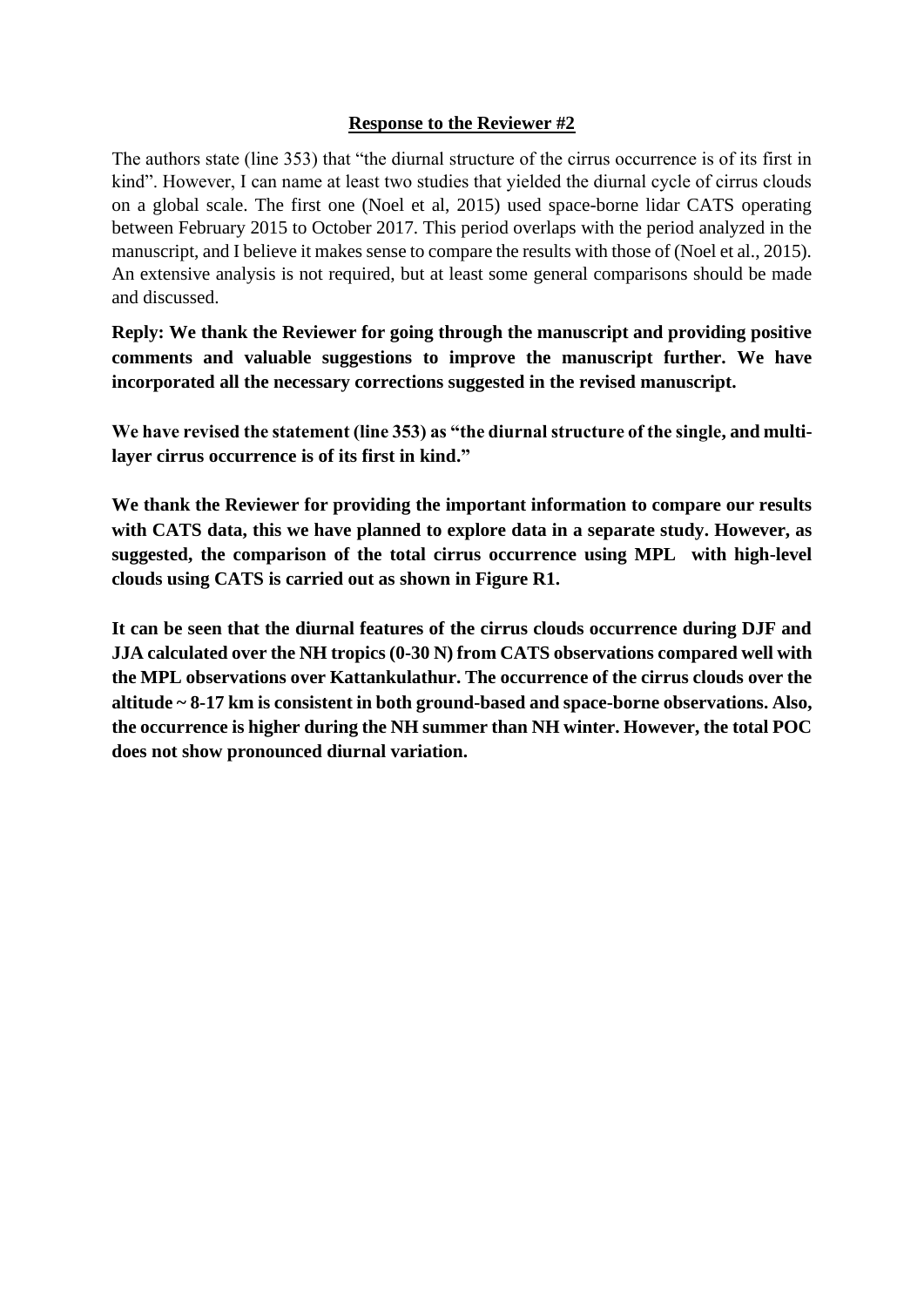# **Response to the Reviewer #2**

The authors state (line 353) that "the diurnal structure of the cirrus occurrence is of its first in kind". However, I can name at least two studies that yielded the diurnal cycle of cirrus clouds on a global scale. The first one (Noel et al, 2015) used space-borne lidar CATS operating between February 2015 to October 2017. This period overlaps with the period analyzed in the manuscript, and I believe it makes sense to compare the results with those of (Noel et al., 2015). An extensive analysis is not required, but at least some general comparisons should be made and discussed.

**Reply: We thank the Reviewer for going through the manuscript and providing positive comments and valuable suggestions to improve the manuscript further. We have incorporated all the necessary corrections suggested in the revised manuscript.**

**We have revised the statement (line 353) as "the diurnal structure of the single, and multilayer cirrus occurrence is of its first in kind."**

**We thank the Reviewer for providing the important information to compare our results with CATS data, this we have planned to explore data in a separate study. However, as suggested, the comparison of the total cirrus occurrence using MPL with high-level clouds using CATS is carried out as shown in Figure R1.** 

**It can be seen that the diurnal features of the cirrus clouds occurrence during DJF and JJA calculated over the NH tropics (0-30 N) from CATS observations compared well with the MPL observations over Kattankulathur. The occurrence of the cirrus clouds over the altitude ~ 8-17 km is consistent in both ground-based and space-borne observations. Also, the occurrence is higher during the NH summer than NH winter. However, the total POC does not show pronounced diurnal variation.**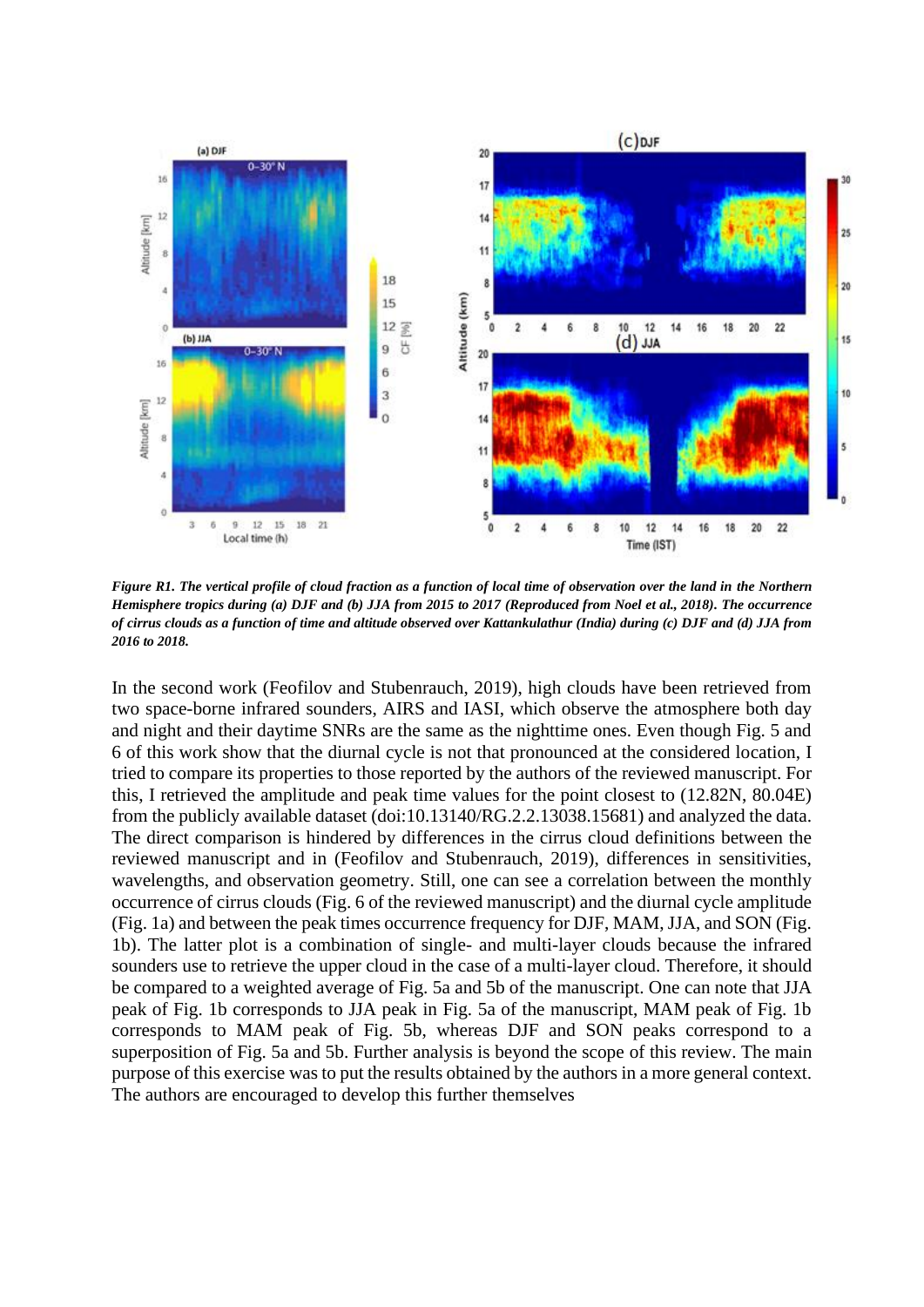

*Figure R1. The vertical profile of cloud fraction as a function of local time of observation over the land in the Northern Hemisphere tropics during (a) DJF and (b) JJA from 2015 to 2017 (Reproduced from Noel et al., 2018). The occurrence of cirrus clouds as a function of time and altitude observed over Kattankulathur (India) during (c) DJF and (d) JJA from 2016 to 2018.*

In the second work (Feofilov and Stubenrauch, 2019), high clouds have been retrieved from two space-borne infrared sounders, AIRS and IASI, which observe the atmosphere both day and night and their daytime SNRs are the same as the nighttime ones. Even though Fig. 5 and 6 of this work show that the diurnal cycle is not that pronounced at the considered location, I tried to compare its properties to those reported by the authors of the reviewed manuscript. For this, I retrieved the amplitude and peak time values for the point closest to (12.82N, 80.04E) from the publicly available dataset (doi:10.13140/RG.2.2.13038.15681) and analyzed the data. The direct comparison is hindered by differences in the cirrus cloud definitions between the reviewed manuscript and in (Feofilov and Stubenrauch, 2019), differences in sensitivities, wavelengths, and observation geometry. Still, one can see a correlation between the monthly occurrence of cirrus clouds (Fig. 6 of the reviewed manuscript) and the diurnal cycle amplitude (Fig. 1a) and between the peak times occurrence frequency for DJF, MAM, JJA, and SON (Fig. 1b). The latter plot is a combination of single- and multi-layer clouds because the infrared sounders use to retrieve the upper cloud in the case of a multi-layer cloud. Therefore, it should be compared to a weighted average of Fig. 5a and 5b of the manuscript. One can note that JJA peak of Fig. 1b corresponds to JJA peak in Fig. 5a of the manuscript, MAM peak of Fig. 1b corresponds to MAM peak of Fig. 5b, whereas DJF and SON peaks correspond to a superposition of Fig. 5a and 5b. Further analysis is beyond the scope of this review. The main purpose of this exercise was to put the results obtained by the authors in a more general context. The authors are encouraged to develop this further themselves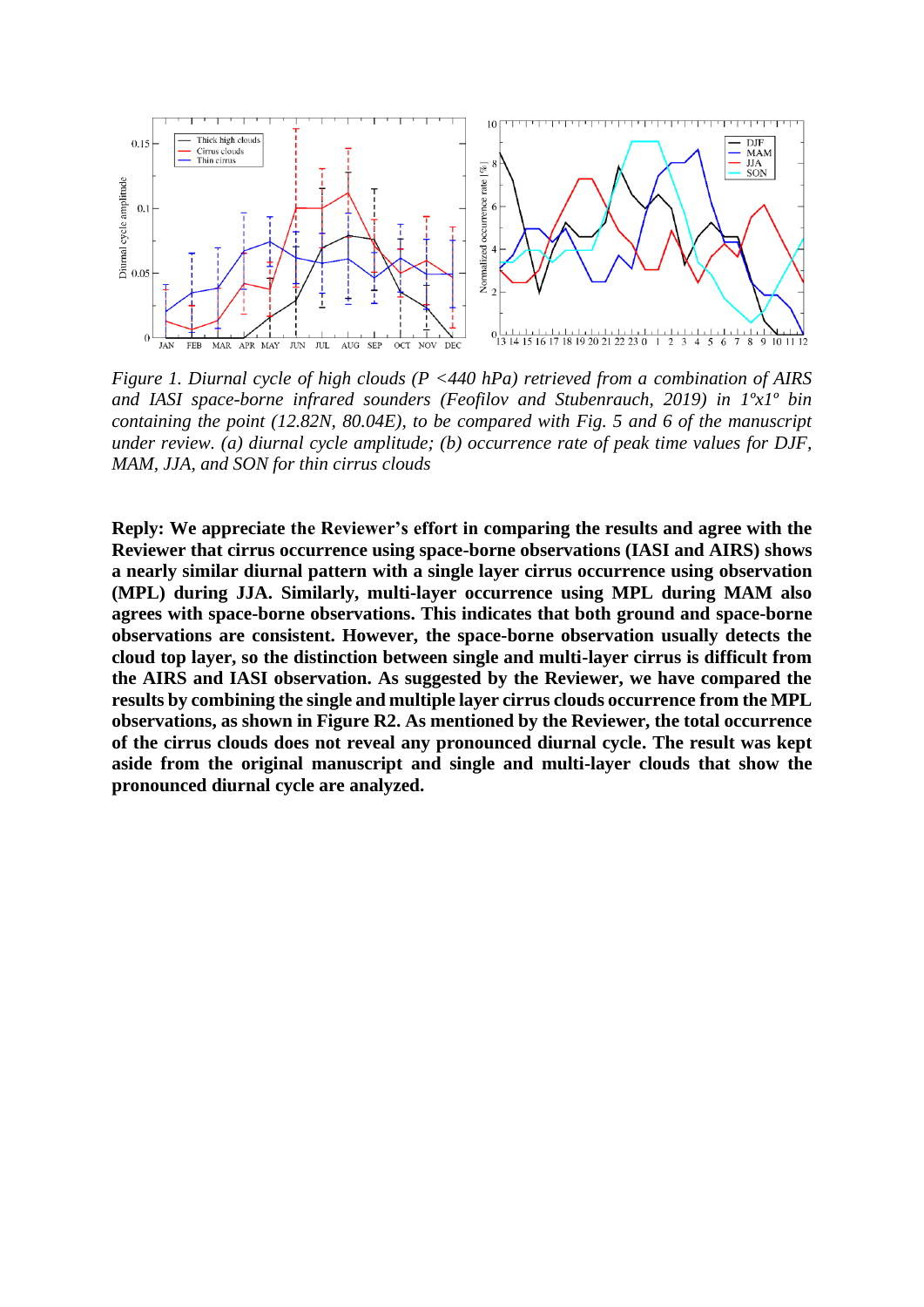

*Figure 1. Diurnal cycle of high clouds (P <440 hPa) retrieved from a combination of AIRS and IASI space-borne infrared sounders (Feofilov and Stubenrauch, 2019) in 1ºx1º bin containing the point (12.82N, 80.04E), to be compared with Fig. 5 and 6 of the manuscript under review. (a) diurnal cycle amplitude; (b) occurrence rate of peak time values for DJF, MAM, JJA, and SON for thin cirrus clouds*

**Reply: We appreciate the Reviewer's effort in comparing the results and agree with the Reviewer that cirrus occurrence using space-borne observations (IASI and AIRS) shows a nearly similar diurnal pattern with a single layer cirrus occurrence using observation (MPL) during JJA. Similarly, multi-layer occurrence using MPL during MAM also agrees with space-borne observations. This indicates that both ground and space-borne observations are consistent. However, the space-borne observation usually detects the cloud top layer, so the distinction between single and multi-layer cirrus is difficult from the AIRS and IASI observation. As suggested by the Reviewer, we have compared the results by combining the single and multiple layer cirrus clouds occurrence from the MPL observations, as shown in Figure R2. As mentioned by the Reviewer, the total occurrence of the cirrus clouds does not reveal any pronounced diurnal cycle. The result was kept aside from the original manuscript and single and multi-layer clouds that show the pronounced diurnal cycle are analyzed.**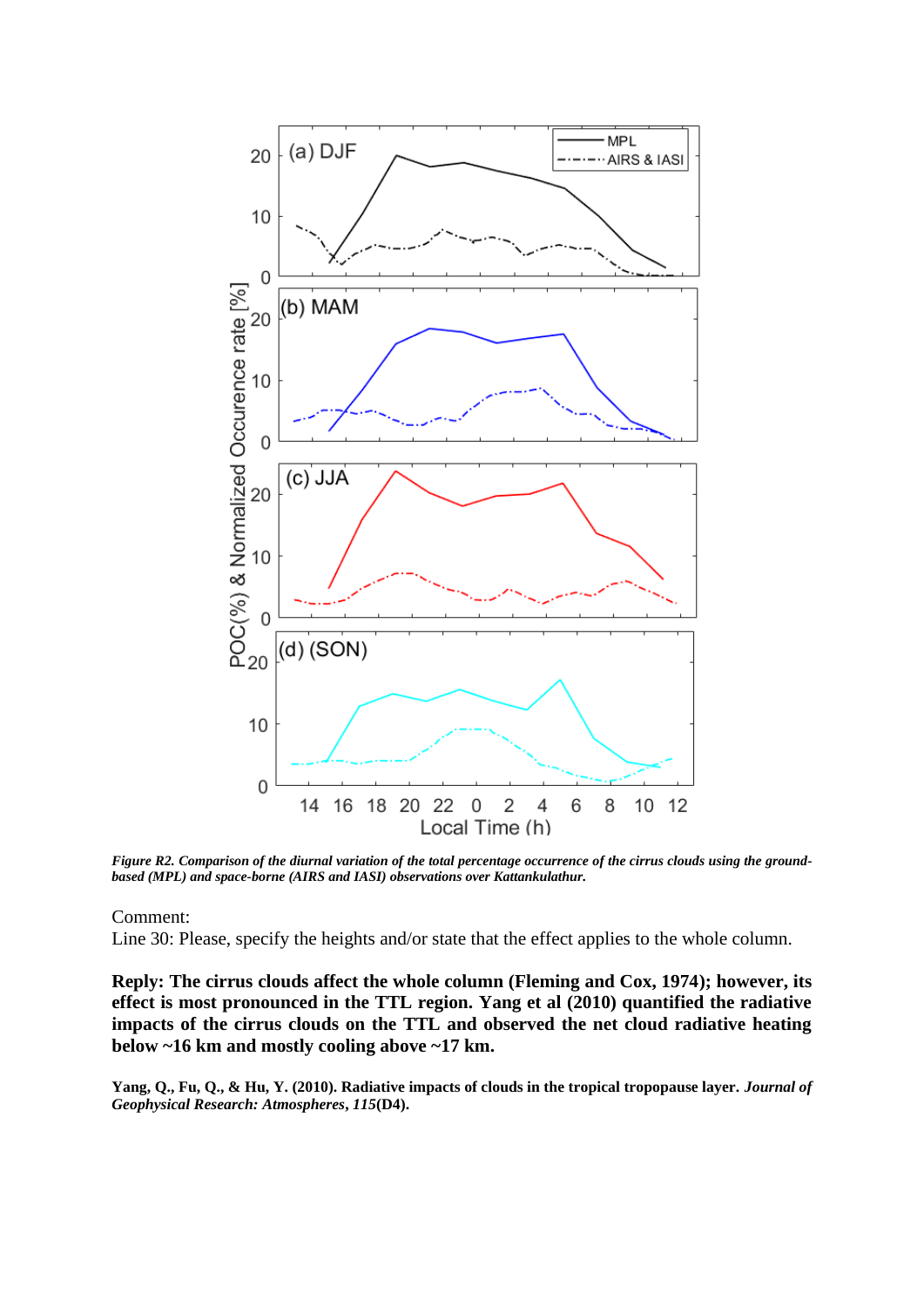

*Figure R2. Comparison of the diurnal variation of the total percentage occurrence of the cirrus clouds using the groundbased (MPL) and space-borne (AIRS and IASI) observations over Kattankulathur.* 

#### Comment:

Line 30: Please, specify the heights and/or state that the effect applies to the whole column.

**Reply: The cirrus clouds affect the whole column (Fleming and Cox, 1974); however, its effect is most pronounced in the TTL region. Yang et al (2010) quantified the radiative impacts of the cirrus clouds on the TTL and observed the net cloud radiative heating below ~16 km and mostly cooling above ~17 km.** 

**Yang, Q., Fu, Q., & Hu, Y. (2010). Radiative impacts of clouds in the tropical tropopause layer.** *Journal of Geophysical Research: Atmospheres***,** *115***(D4).**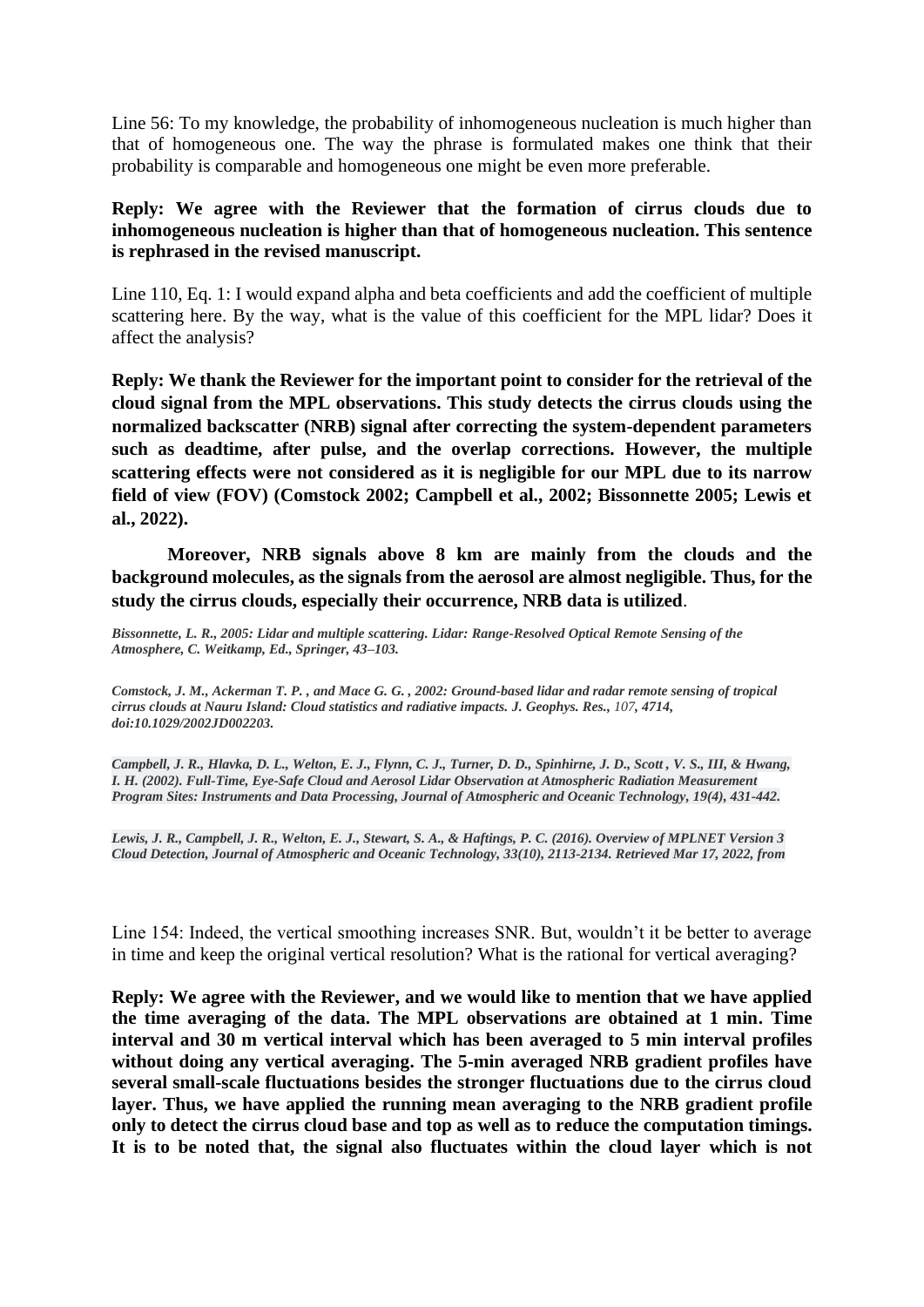Line 56: To my knowledge, the probability of inhomogeneous nucleation is much higher than that of homogeneous one. The way the phrase is formulated makes one think that their probability is comparable and homogeneous one might be even more preferable.

### **Reply: We agree with the Reviewer that the formation of cirrus clouds due to inhomogeneous nucleation is higher than that of homogeneous nucleation. This sentence is rephrased in the revised manuscript.**

Line 110, Eq. 1: I would expand alpha and beta coefficients and add the coefficient of multiple scattering here. By the way, what is the value of this coefficient for the MPL lidar? Does it affect the analysis?

**Reply: We thank the Reviewer for the important point to consider for the retrieval of the cloud signal from the MPL observations. This study detects the cirrus clouds using the normalized backscatter (NRB) signal after correcting the system-dependent parameters such as deadtime, after pulse, and the overlap corrections. However, the multiple scattering effects were not considered as it is negligible for our MPL due to its narrow field of view (FOV) (Comstock 2002; Campbell et al., 2002; Bissonnette 2005; Lewis et al., 2022).** 

**Moreover, NRB signals above 8 km are mainly from the clouds and the background molecules, as the signals from the aerosol are almost negligible. Thus, for the study the cirrus clouds, especially their occurrence, NRB data is utilized**.

*Bissonnette, L. R., 2005: Lidar and multiple scattering. Lidar: Range-Resolved Optical Remote Sensing of the Atmosphere, C. Weitkamp, Ed., Springer, 43–103.*

*Comstock, J. M., Ackerman T. P. , and Mace G. G. , 2002: Ground-based lidar and radar remote sensing of tropical cirrus clouds at Nauru Island: Cloud statistics and radiative impacts. J. Geophys. Res., 107, 4714, doi:10.1029/2002JD002203.*

*Campbell, J. R., Hlavka, D. L., Welton, E. J., Flynn, C. J., Turner, D. D., Spinhirne, J. D., Scott , V. S., III, & Hwang, I. H. (2002). Full-Time, Eye-Safe Cloud and Aerosol Lidar Observation at Atmospheric Radiation Measurement Program Sites: Instruments and Data Processing, Journal of Atmospheric and Oceanic Technology, 19(4), 431-442.*

*Lewis, J. R., Campbell, J. R., Welton, E. J., Stewart, S. A., & Haftings, P. C. (2016). Overview of MPLNET Version 3 Cloud Detection, Journal of Atmospheric and Oceanic Technology, 33(10), 2113-2134. Retrieved Mar 17, 2022, from*

Line 154: Indeed, the vertical smoothing increases SNR. But, wouldn't it be better to average in time and keep the original vertical resolution? What is the rational for vertical averaging?

**Reply: We agree with the Reviewer, and we would like to mention that we have applied the time averaging of the data. The MPL observations are obtained at 1 min. Time interval and 30 m vertical interval which has been averaged to 5 min interval profiles without doing any vertical averaging. The 5-min averaged NRB gradient profiles have several small-scale fluctuations besides the stronger fluctuations due to the cirrus cloud layer. Thus, we have applied the running mean averaging to the NRB gradient profile only to detect the cirrus cloud base and top as well as to reduce the computation timings. It is to be noted that, the signal also fluctuates within the cloud layer which is not**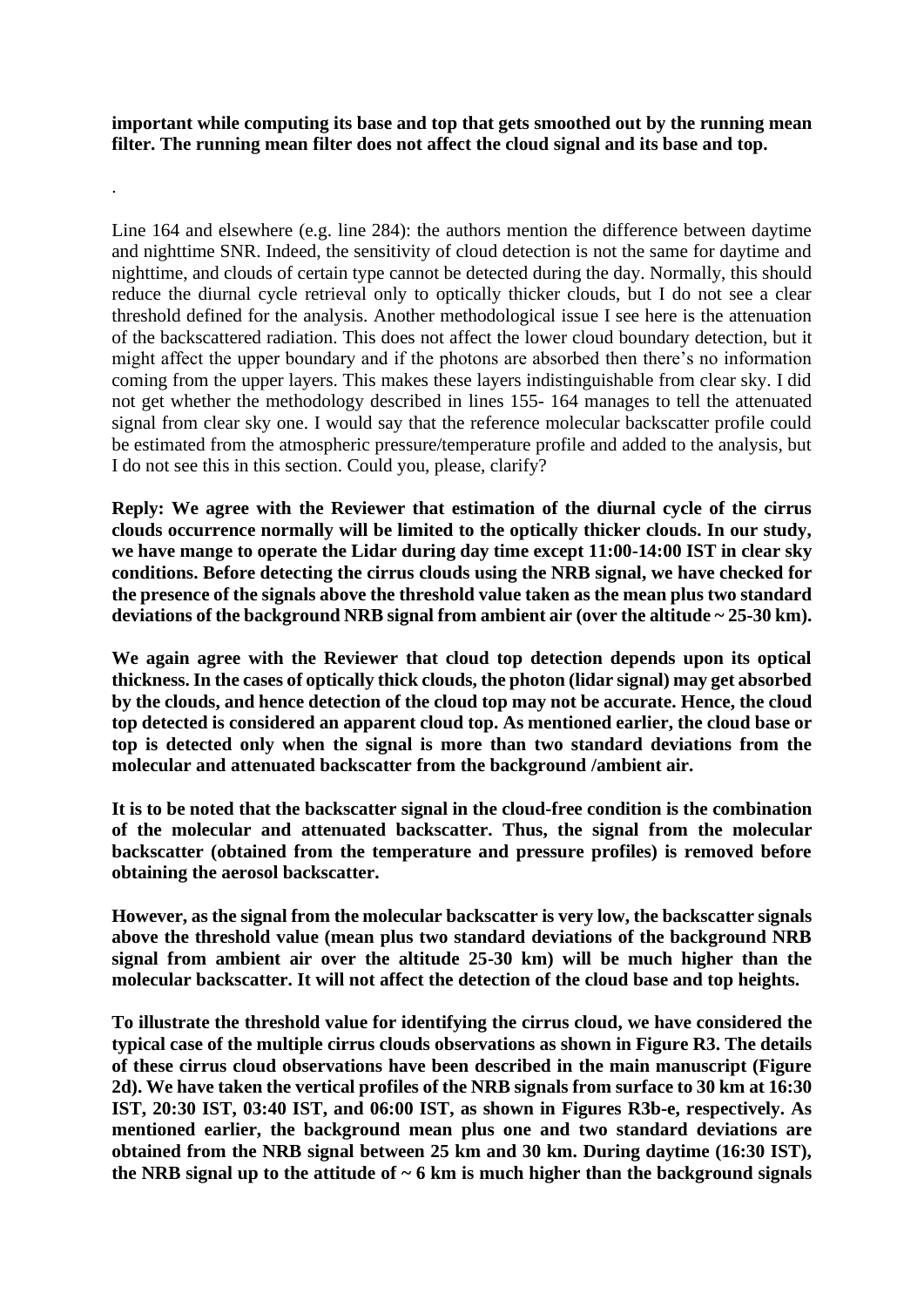**important while computing its base and top that gets smoothed out by the running mean filter. The running mean filter does not affect the cloud signal and its base and top.** 

.

Line 164 and elsewhere (e.g. line 284): the authors mention the difference between daytime and nighttime SNR. Indeed, the sensitivity of cloud detection is not the same for daytime and nighttime, and clouds of certain type cannot be detected during the day. Normally, this should reduce the diurnal cycle retrieval only to optically thicker clouds, but I do not see a clear threshold defined for the analysis. Another methodological issue I see here is the attenuation of the backscattered radiation. This does not affect the lower cloud boundary detection, but it might affect the upper boundary and if the photons are absorbed then there's no information coming from the upper layers. This makes these layers indistinguishable from clear sky. I did not get whether the methodology described in lines 155- 164 manages to tell the attenuated signal from clear sky one. I would say that the reference molecular backscatter profile could be estimated from the atmospheric pressure/temperature profile and added to the analysis, but I do not see this in this section. Could you, please, clarify?

**Reply: We agree with the Reviewer that estimation of the diurnal cycle of the cirrus clouds occurrence normally will be limited to the optically thicker clouds. In our study, we have mange to operate the Lidar during day time except 11:00-14:00 IST in clear sky conditions. Before detecting the cirrus clouds using the NRB signal, we have checked for the presence of the signals above the threshold value taken as the mean plus two standard deviations of the background NRB signal from ambient air (over the altitude ~ 25-30 km).** 

**We again agree with the Reviewer that cloud top detection depends upon its optical thickness. In the cases of optically thick clouds, the photon (lidar signal) may get absorbed by the clouds, and hence detection of the cloud top may not be accurate. Hence, the cloud top detected is considered an apparent cloud top. As mentioned earlier, the cloud base or top is detected only when the signal is more than two standard deviations from the molecular and attenuated backscatter from the background /ambient air.** 

**It is to be noted that the backscatter signal in the cloud-free condition is the combination of the molecular and attenuated backscatter. Thus, the signal from the molecular backscatter (obtained from the temperature and pressure profiles) is removed before obtaining the aerosol backscatter.** 

**However, as the signal from the molecular backscatter is very low, the backscatter signals above the threshold value (mean plus two standard deviations of the background NRB signal from ambient air over the altitude 25-30 km) will be much higher than the molecular backscatter. It will not affect the detection of the cloud base and top heights.** 

**To illustrate the threshold value for identifying the cirrus cloud, we have considered the typical case of the multiple cirrus clouds observations as shown in Figure R3. The details of these cirrus cloud observations have been described in the main manuscript (Figure 2d). We have taken the vertical profiles of the NRB signals from surface to 30 km at 16:30 IST, 20:30 IST, 03:40 IST, and 06:00 IST, as shown in Figures R3b-e, respectively. As mentioned earlier, the background mean plus one and two standard deviations are obtained from the NRB signal between 25 km and 30 km. During daytime (16:30 IST), the NRB signal up to the attitude of ~ 6 km is much higher than the background signals**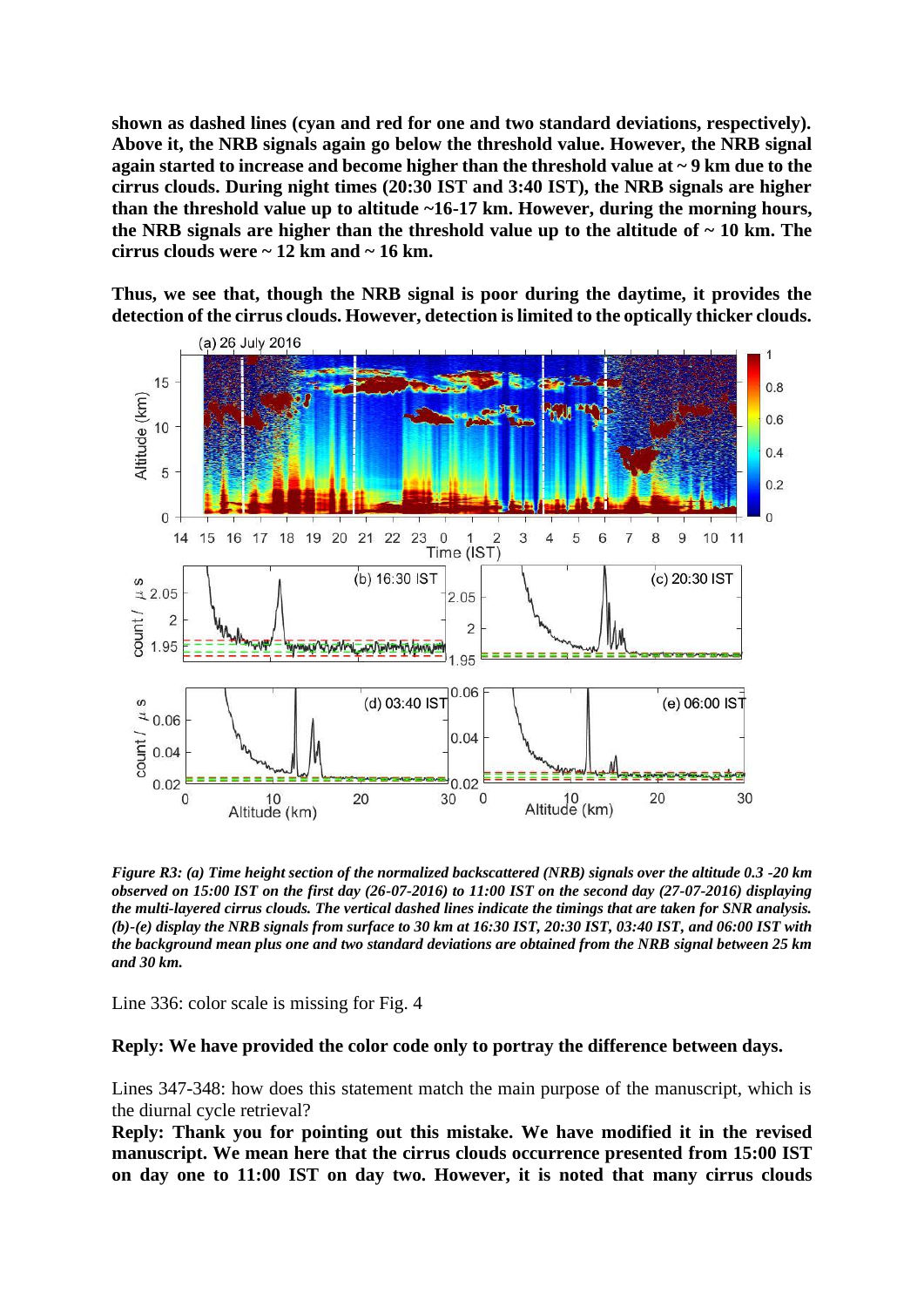**shown as dashed lines (cyan and red for one and two standard deviations, respectively). Above it, the NRB signals again go below the threshold value. However, the NRB signal again started to increase and become higher than the threshold value at ~ 9 km due to the cirrus clouds. During night times (20:30 IST and 3:40 IST), the NRB signals are higher than the threshold value up to altitude ~16-17 km. However, during the morning hours, the NRB signals are higher than the threshold value up to the altitude of ~ 10 km. The cirrus clouds were ~ 12 km and ~ 16 km.** 

**Thus, we see that, though the NRB signal is poor during the daytime, it provides the detection of the cirrus clouds. However, detection is limited to the optically thicker clouds.** 



*Figure R3: (a) Time height section of the normalized backscattered (NRB) signals over the altitude 0.3 -20 km observed on 15:00 IST on the first day (26-07-2016) to 11:00 IST on the second day (27-07-2016) displaying the multi-layered cirrus clouds. The vertical dashed lines indicate the timings that are taken for SNR analysis. (b)-(e) display the NRB signals from surface to 30 km at 16:30 IST, 20:30 IST, 03:40 IST, and 06:00 IST with the background mean plus one and two standard deviations are obtained from the NRB signal between 25 km and 30 km.* 

Line 336: color scale is missing for Fig. 4

### **Reply: We have provided the color code only to portray the difference between days.**

Lines 347-348: how does this statement match the main purpose of the manuscript, which is the diurnal cycle retrieval?

**Reply: Thank you for pointing out this mistake. We have modified it in the revised manuscript. We mean here that the cirrus clouds occurrence presented from 15:00 IST on day one to 11:00 IST on day two. However, it is noted that many cirrus clouds**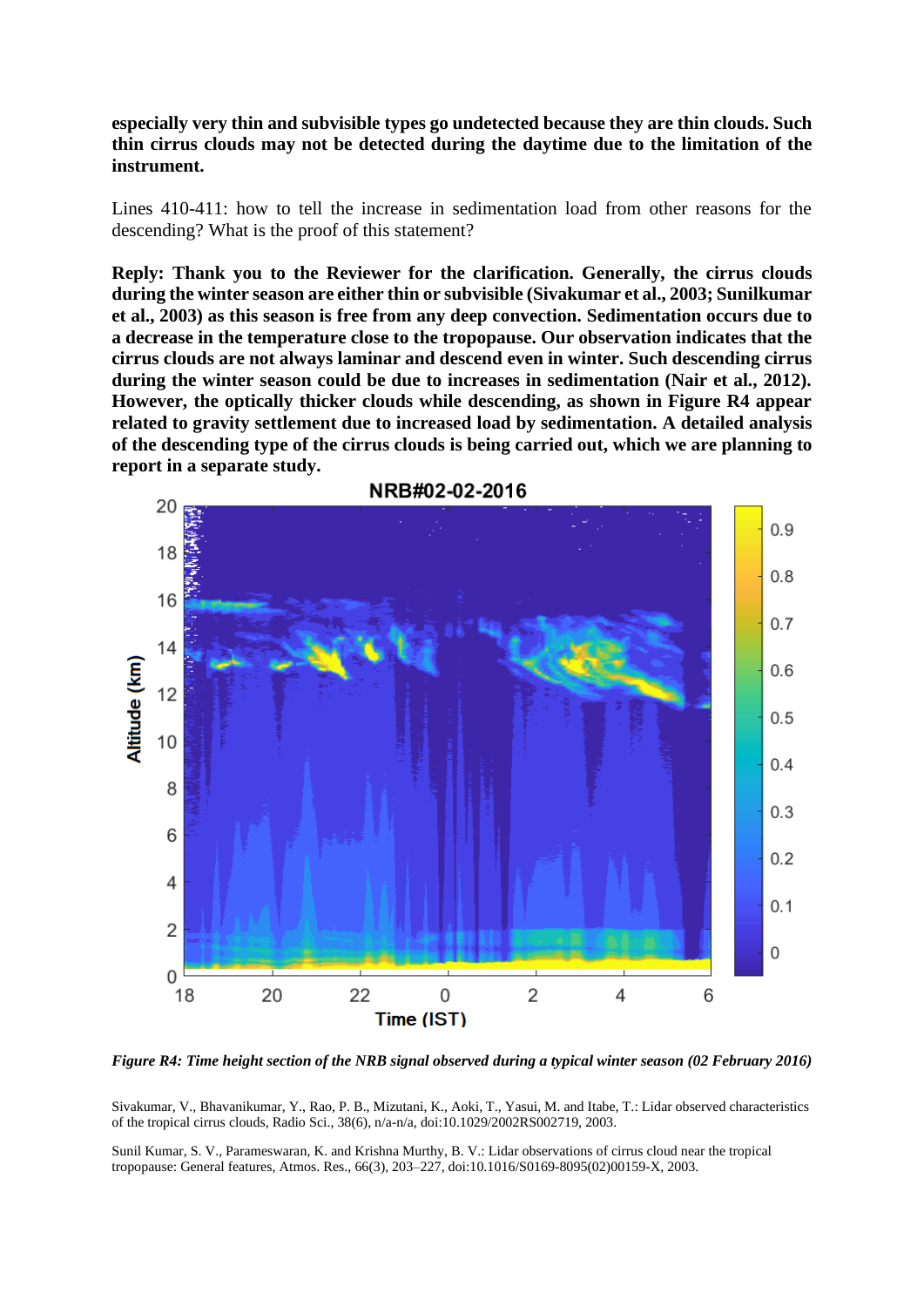**especially very thin and subvisible types go undetected because they are thin clouds. Such thin cirrus clouds may not be detected during the daytime due to the limitation of the instrument.** 

Lines 410-411: how to tell the increase in sedimentation load from other reasons for the descending? What is the proof of this statement?

**Reply: Thank you to the Reviewer for the clarification. Generally, the cirrus clouds during the winter season are either thin or subvisible (Sivakumar et al., 2003; Sunilkumar et al., 2003) as this season is free from any deep convection. Sedimentation occurs due to a decrease in the temperature close to the tropopause. Our observation indicates that the cirrus clouds are not always laminar and descend even in winter. Such descending cirrus during the winter season could be due to increases in sedimentation (Nair et al., 2012). However, the optically thicker clouds while descending, as shown in Figure R4 appear related to gravity settlement due to increased load by sedimentation. A detailed analysis of the descending type of the cirrus clouds is being carried out, which we are planning to report in a separate study.** 



*Figure R4: Time height section of the NRB signal observed during a typical winter season (02 February 2016)*

Sivakumar, V., Bhavanikumar, Y., Rao, P. B., Mizutani, K., Aoki, T., Yasui, M. and Itabe, T.: Lidar observed characteristics of the tropical cirrus clouds, Radio Sci., 38(6), n/a-n/a, doi:10.1029/2002RS002719, 2003.

Sunil Kumar, S. V., Parameswaran, K. and Krishna Murthy, B. V.: Lidar observations of cirrus cloud near the tropical tropopause: General features, Atmos. Res., 66(3), 203–227, doi:10.1016/S0169-8095(02)00159-X, 2003.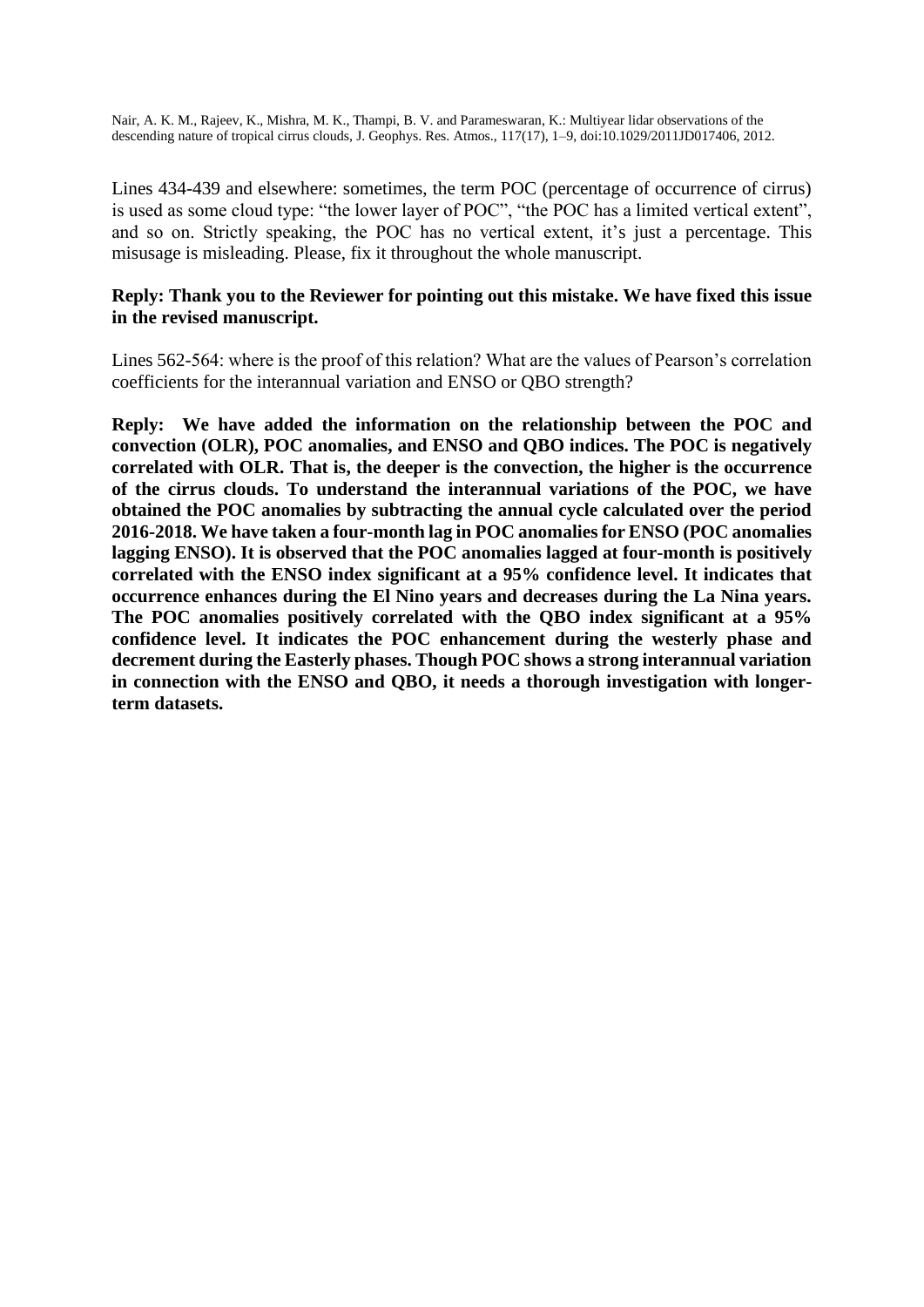Nair, A. K. M., Rajeev, K., Mishra, M. K., Thampi, B. V. and Parameswaran, K.: Multiyear lidar observations of the descending nature of tropical cirrus clouds, J. Geophys. Res. Atmos., 117(17), 1–9, doi:10.1029/2011JD017406, 2012.

Lines 434-439 and elsewhere: sometimes, the term POC (percentage of occurrence of cirrus) is used as some cloud type: "the lower layer of POC", "the POC has a limited vertical extent", and so on. Strictly speaking, the POC has no vertical extent, it's just a percentage. This misusage is misleading. Please, fix it throughout the whole manuscript.

### **Reply: Thank you to the Reviewer for pointing out this mistake. We have fixed this issue in the revised manuscript.**

Lines 562-564: where is the proof of this relation? What are the values of Pearson's correlation coefficients for the interannual variation and ENSO or QBO strength?

**Reply: We have added the information on the relationship between the POC and convection (OLR), POC anomalies, and ENSO and QBO indices. The POC is negatively correlated with OLR. That is, the deeper is the convection, the higher is the occurrence of the cirrus clouds. To understand the interannual variations of the POC, we have obtained the POC anomalies by subtracting the annual cycle calculated over the period 2016-2018. We have taken a four-month lag in POC anomalies for ENSO (POC anomalies lagging ENSO). It is observed that the POC anomalies lagged at four-month is positively correlated with the ENSO index significant at a 95% confidence level. It indicates that occurrence enhances during the El Nino years and decreases during the La Nina years. The POC anomalies positively correlated with the QBO index significant at a 95% confidence level. It indicates the POC enhancement during the westerly phase and decrement during the Easterly phases. Though POC shows a strong interannual variation in connection with the ENSO and QBO, it needs a thorough investigation with longerterm datasets.**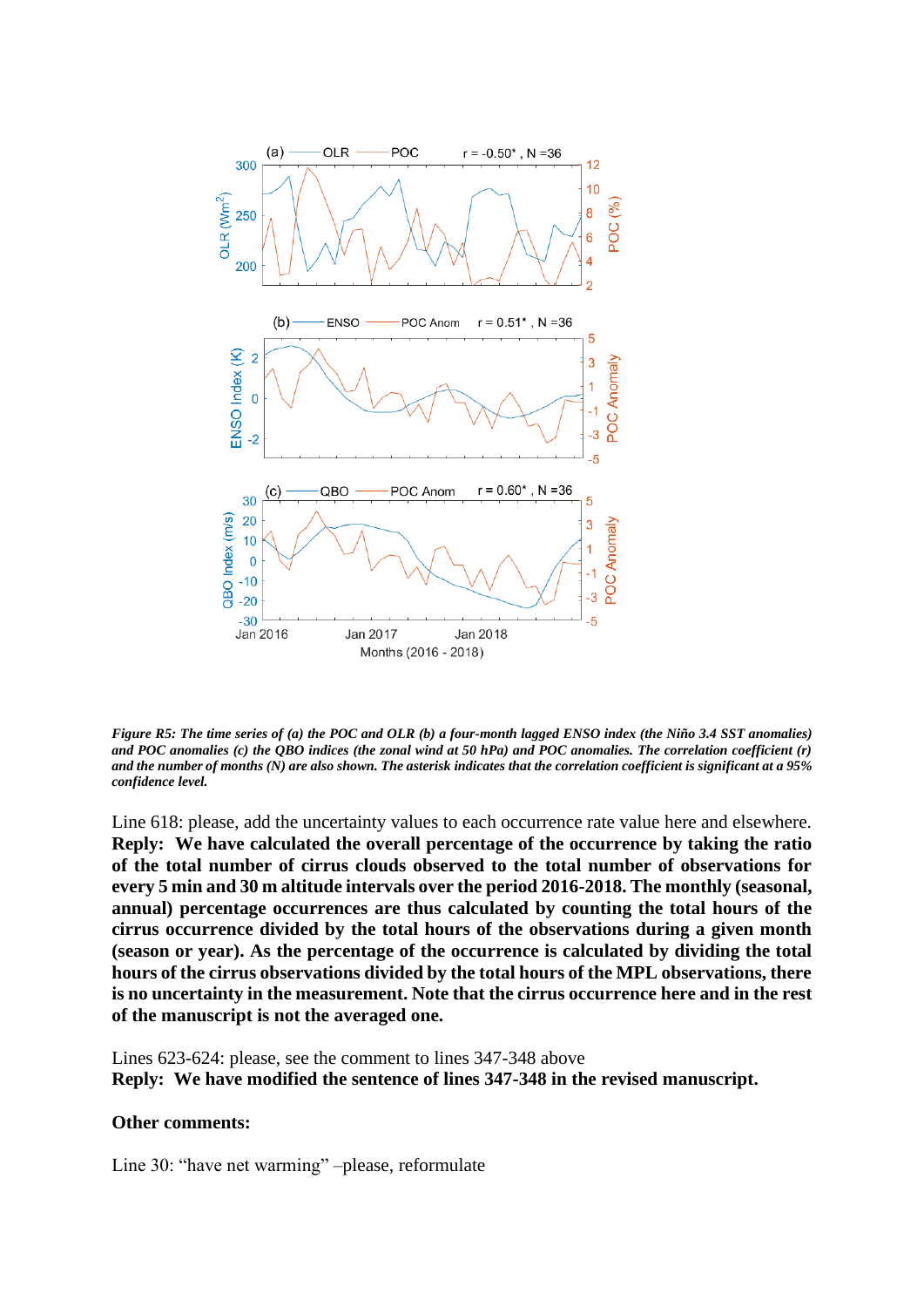

*Figure R5: The time series of (a) the POC and OLR (b) a four-month lagged ENSO index (the Niño 3.4 SST anomalies) and POC anomalies (c) the QBO indices (the zonal wind at 50 hPa) and POC anomalies. The correlation coefficient (r) and the number of months (N) are also shown. The asterisk indicates that the correlation coefficient is significant at a 95% confidence level.*

Line 618: please, add the uncertainty values to each occurrence rate value here and elsewhere. **Reply: We have calculated the overall percentage of the occurrence by taking the ratio of the total number of cirrus clouds observed to the total number of observations for every 5 min and 30 m altitude intervals over the period 2016-2018. The monthly (seasonal, annual) percentage occurrences are thus calculated by counting the total hours of the cirrus occurrence divided by the total hours of the observations during a given month (season or year). As the percentage of the occurrence is calculated by dividing the total hours of the cirrus observations divided by the total hours of the MPL observations, there is no uncertainty in the measurement. Note that the cirrus occurrence here and in the rest of the manuscript is not the averaged one.** 

Lines 623-624: please, see the comment to lines 347-348 above **Reply: We have modified the sentence of lines 347-348 in the revised manuscript.** 

### **Other comments:**

Line 30: "have net warming" –please, reformulate